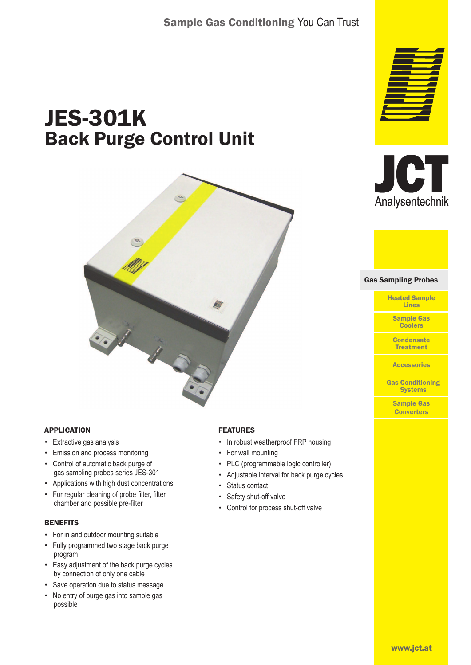# JES-301K Back Purge Control Unit





- Extractive gas analysis
- Emission and process monitoring
- Control of automatic back purge of gas sampling probes series JES-301
- Applications with high dust concentrations
- For regular cleaning of probe filter, filter chamber and possible pre-filter

## **BENEFITS**

- For in and outdoor mounting suitable
- Fully programmed two stage back purge program
- Easy adjustment of the back purge cycles by connection of only one cable
- Save operation due to status message
- No entry of purge gas into sample gas possible

## FEATURES

- In robust weatherproof FRP housing
- For wall mounting
- PLC (programmable logic controller)
- Adjustable interval for back purge cycles
- Status contact
- Safety shut-off valve
- Control for process shut-off valve





#### Gas Sampling Probes Gas Sampling Probes

Heated Sample Lines

Sample Gas **Coolers** 

**Condensate** Treatment

**Accessories** 

Gas Conditioning **Systems** 

> Sample Gas **Converters**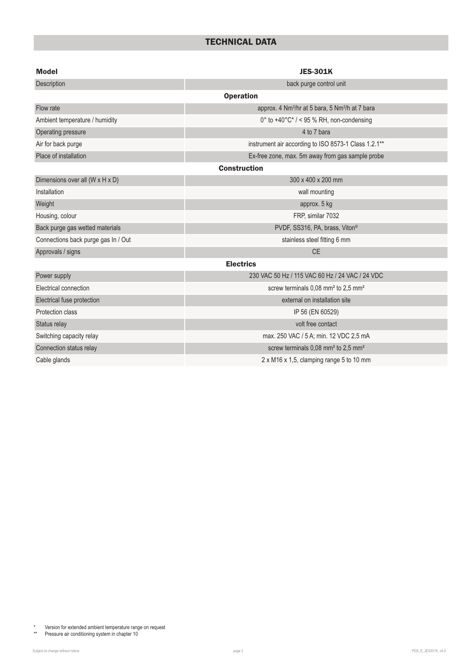## TECHNICAL DATA

| <b>Model</b>                        | <b>JES-301K</b>                                                         |  |  |  |  |  |
|-------------------------------------|-------------------------------------------------------------------------|--|--|--|--|--|
| Description                         | back purge control unit                                                 |  |  |  |  |  |
| <b>Operation</b>                    |                                                                         |  |  |  |  |  |
| Flow rate                           | approx. 4 Nm <sup>3</sup> /hr at 5 bara, 5 Nm <sup>3</sup> /h at 7 bara |  |  |  |  |  |
| Ambient temperature / humidity      | 0° to $+40^{\circ}$ C* / < 95 % RH, non-condensing                      |  |  |  |  |  |
| Operating pressure                  | 4 to 7 bara                                                             |  |  |  |  |  |
| Air for back purge                  | instrument air according to ISO 8573-1 Class 1.2.1**                    |  |  |  |  |  |
| Place of installation               | Ex-free zone, max. 5m away from gas sample probe                        |  |  |  |  |  |
| <b>Construction</b>                 |                                                                         |  |  |  |  |  |
| Dimensions over all (W x H x D)     | 300 x 400 x 200 mm                                                      |  |  |  |  |  |
| Installation                        | wall mounting                                                           |  |  |  |  |  |
| Weight                              | approx. 5 kg                                                            |  |  |  |  |  |
| Housing, colour                     | FRP, similar 7032                                                       |  |  |  |  |  |
| Back purge gas wetted materials     | PVDF, SS316, PA, brass, Viton®                                          |  |  |  |  |  |
| Connections back purge gas In / Out | stainless steel fitting 6 mm                                            |  |  |  |  |  |
| Approvals / signs                   | <b>CE</b>                                                               |  |  |  |  |  |
| <b>Electrics</b>                    |                                                                         |  |  |  |  |  |
| Power supply                        | 230 VAC 50 Hz / 115 VAC 60 Hz / 24 VAC / 24 VDC                         |  |  |  |  |  |
| Electrical connection               | screw terminals 0,08 mm <sup>2</sup> to 2,5 mm <sup>2</sup>             |  |  |  |  |  |
| Electrical fuse protection          | external on installation site                                           |  |  |  |  |  |
| Protection class                    | IP 56 (EN 60529)                                                        |  |  |  |  |  |
| Status relay                        | volt free contact                                                       |  |  |  |  |  |
| Switching capacity relay            | max. 250 VAC / 5 A; min. 12 VDC 2,5 mA                                  |  |  |  |  |  |
| Connection status relay             | screw terminals 0,08 mm <sup>2</sup> to 2,5 mm <sup>2</sup>             |  |  |  |  |  |
| Cable glands                        | 2 x M16 x 1,5, clamping range 5 to 10 mm                                |  |  |  |  |  |

\* Version for extended ambient temperature range on request

\*\* Pressure air conditioning system in chapter 10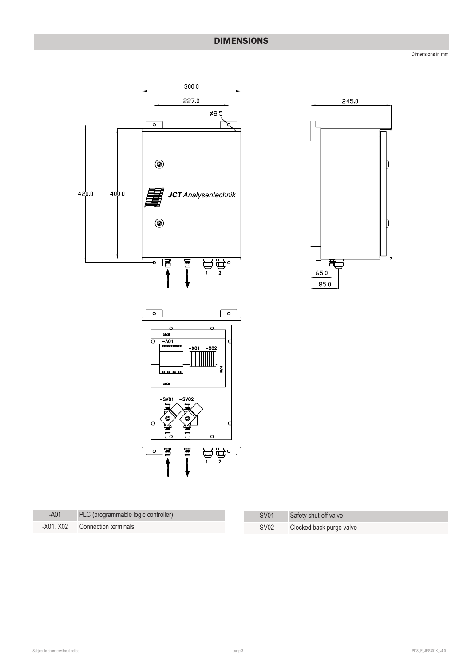## DIMENSIONS

Dimensions in mm





| $- A01$ | PLC (programmable logic controller) | $-SV01$ | Safety shut-off valve    |
|---------|-------------------------------------|---------|--------------------------|
|         | -X01, X02 Connection terminals      | $-SV02$ | Clocked back purge valve |